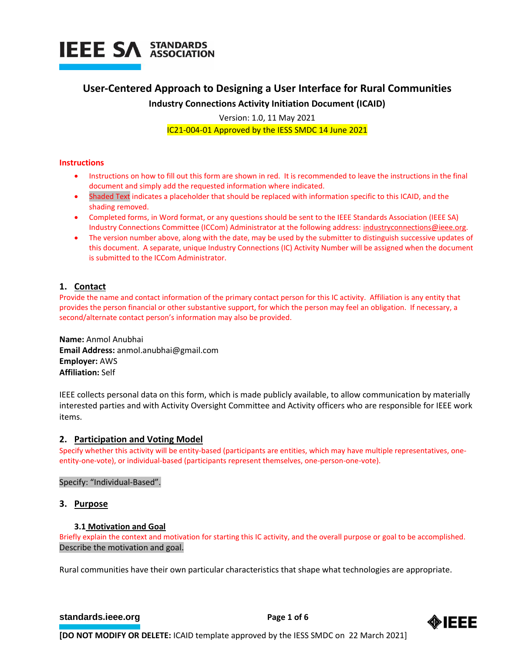

## **User-Centered Approach to Designing a User Interface for Rural Communities**

## **Industry Connections Activity Initiation Document (ICAID)**

Version: 1.0, 11 May 2021

IC21-004-01 Approved by the IESS SMDC 14 June 2021

## **Instructions**

- Instructions on how to fill out this form are shown in red. It is recommended to leave the instructions in the final document and simply add the requested information where indicated.
- Shaded Text indicates a placeholder that should be replaced with information specific to this ICAID, and the shading removed.
- Completed forms, in Word format, or any questions should be sent to the IEEE Standards Association (IEEE SA) Industry Connections Committee (ICCom) Administrator at the following address: [industryconnections@ieee.org.](mailto:industryconnections@ieee.org)
- The version number above, along with the date, may be used by the submitter to distinguish successive updates of this document. A separate, unique Industry Connections (IC) Activity Number will be assigned when the document is submitted to the ICCom Administrator.

## **1. Contact**

Provide the name and contact information of the primary contact person for this IC activity. Affiliation is any entity that provides the person financial or other substantive support, for which the person may feel an obligation. If necessary, a second/alternate contact person's information may also be provided.

**Name:** Anmol Anubhai **Email Address:** anmol.anubhai@gmail.com **Employer:** AWS **Affiliation:** Self

IEEE collects personal data on this form, which is made publicly available, to allow communication by materially interested parties and with Activity Oversight Committee and Activity officers who are responsible for IEEE work items.

## **2. Participation and Voting Model**

Specify whether this activity will be entity-based (participants are entities, which may have multiple representatives, oneentity-one-vote), or individual-based (participants represent themselves, one-person-one-vote).

## Specify: "Individual-Based".

## **3. Purpose**

## **3.1 Motivation and Goal**

Briefly explain the context and motivation for starting this IC activity, and the overall purpose or goal to be accomplished. Describe the motivation and goal.

Rural communities have their own particular characteristics that shape what technologies are appropriate.

## **[standards.ieee.org](http://standards.ieee.org/) EXECUTE: Page 1 of 6**

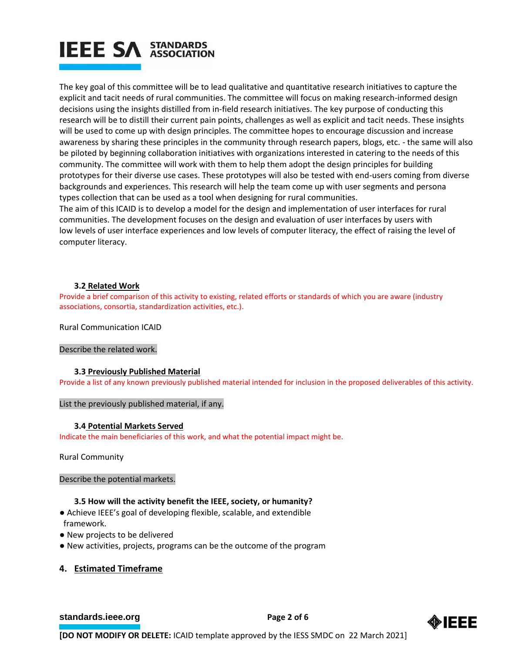# **IEEE SA STANDARDS**

The key goal of this committee will be to lead qualitative and quantitative research initiatives to capture the explicit and tacit needs of rural communities. The committee will focus on making research-informed design decisions using the insights distilled from in-field research initiatives. The key purpose of conducting this research will be to distill their current pain points, challenges as well as explicit and tacit needs. These insights will be used to come up with design principles. The committee hopes to encourage discussion and increase awareness by sharing these principles in the community through research papers, blogs, etc. - the same will also be piloted by beginning collaboration initiatives with organizations interested in catering to the needs of this community. The committee will work with them to help them adopt the design principles for building prototypes for their diverse use cases. These prototypes will also be tested with end-users coming from diverse backgrounds and experiences. This research will help the team come up with user segments and persona types collection that can be used as a tool when designing for rural communities.

The aim of this ICAID is to develop a model for the design and implementation of user interfaces for rural communities. The development focuses on the design and evaluation of user interfaces by users with low levels of user interface experiences and low levels of computer literacy, the effect of raising the level of computer literacy.

## **3.2 Related Work**

Provide a brief comparison of this activity to existing, related efforts or standards of which you are aware (industry associations, consortia, standardization activities, etc.).

Rural Communication ICAID

## Describe the related work.

## **3.3 Previously Published Material**

Provide a list of any known previously published material intended for inclusion in the proposed deliverables of this activity.

List the previously published material, if any.

## **3.4 Potential Markets Served**

Indicate the main beneficiaries of this work, and what the potential impact might be.

Rural Community

## Describe the potential markets.

## **3.5 How will the activity benefit the IEEE, society, or humanity?**

- Achieve IEEE's goal of developing flexible, scalable, and extendible framework.
- New projects to be delivered
- New activities, projects, programs can be the outcome of the program

## **4. Estimated Timeframe**

## **[standards.ieee.org](http://standards.ieee.org/) EXECUTE: Page 2 of 6**

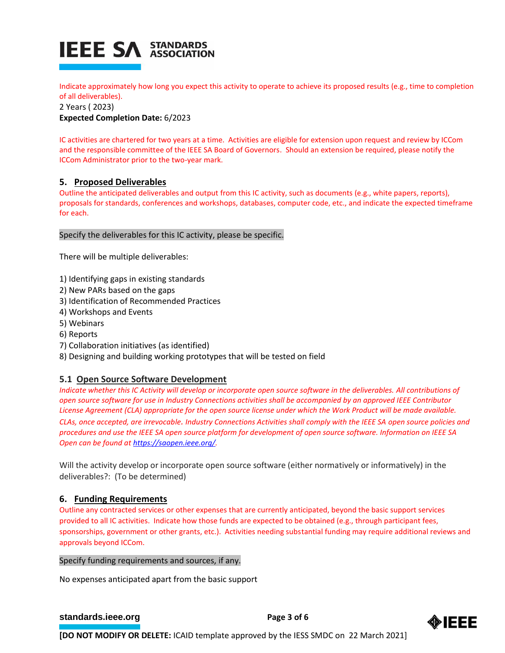

Indicate approximately how long you expect this activity to operate to achieve its proposed results (e.g., time to completion of all deliverables).

2 Years ( 2023)

**Expected Completion Date:** 6/2023

IC activities are chartered for two years at a time. Activities are eligible for extension upon request and review by ICCom and the responsible committee of the IEEE SA Board of Governors. Should an extension be required, please notify the ICCom Administrator prior to the two-year mark.

## **5. Proposed Deliverables**

Outline the anticipated deliverables and output from this IC activity, such as documents (e.g., white papers, reports), proposals for standards, conferences and workshops, databases, computer code, etc., and indicate the expected timeframe for each.

## Specify the deliverables for this IC activity, please be specific.

There will be multiple deliverables:

- 1) Identifying gaps in existing standards
- 2) New PARs based on the gaps
- 3) Identification of Recommended Practices
- 4) Workshops and Events
- 5) Webinars
- 6) Reports
- 7) Collaboration initiatives (as identified)
- 8) Designing and building working prototypes that will be tested on field

## **5.1 Open Source Software Development**

*Indicate whether this IC Activity will develop or incorporate open source software in the deliverables. All contributions of open source software for use in Industry Connections activities shall be accompanied by an approved IEEE Contributor License Agreement (CLA) appropriate for the open source license under which the Work Product will be made available. CLAs, once accepted, are irrevocable. Industry Connections Activities shall comply with the IEEE SA open source policies and procedures and use the IEEE SA open source platform for development of open source software. Information on IEEE SA Open can be found a[t https://saopen.ieee.org/.](https://saopen.ieee.org/)* 

Will the activity develop or incorporate open source software (either normatively or informatively) in the deliverables?: (To be determined)

## **6. Funding Requirements**

Outline any contracted services or other expenses that are currently anticipated, beyond the basic support services provided to all IC activities. Indicate how those funds are expected to be obtained (e.g., through participant fees, sponsorships, government or other grants, etc.). Activities needing substantial funding may require additional reviews and approvals beyond ICCom.

## Specify funding requirements and sources, if any.

No expenses anticipated apart from the basic support

## **[standards.ieee.org](http://standards.ieee.org/)**<br> **Page 3 of 6**

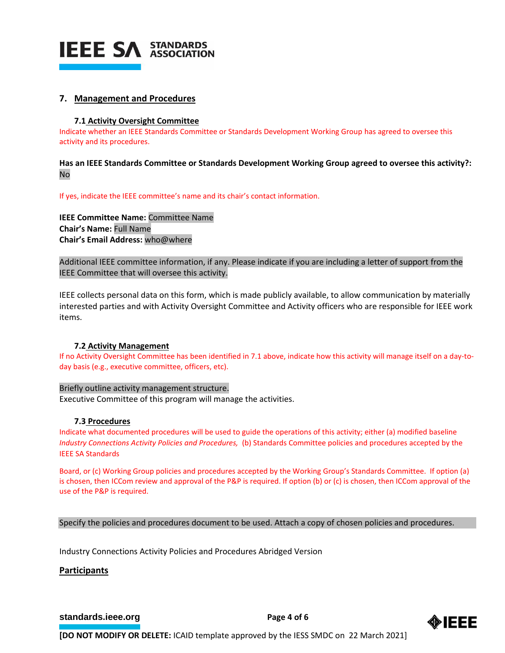

## **7. Management and Procedures**

## **7.1 Activity Oversight Committee**

Indicate whether an IEEE Standards Committee or Standards Development Working Group has agreed to oversee this activity and its procedures.

**Has an IEEE Standards Committee or Standards Development Working Group agreed to oversee this activity?:** No

If yes, indicate the IEEE committee's name and its chair's contact information.

**IEEE Committee Name:** Committee Name **Chair's Name:** Full Name **Chair's Email Address:** who@where

Additional IEEE committee information, if any. Please indicate if you are including a letter of support from the IEEE Committee that will oversee this activity.

IEEE collects personal data on this form, which is made publicly available, to allow communication by materially interested parties and with Activity Oversight Committee and Activity officers who are responsible for IEEE work items.

## **7.2 Activity Management**

If no Activity Oversight Committee has been identified in 7.1 above, indicate how this activity will manage itself on a day-today basis (e.g., executive committee, officers, etc).

## Briefly outline activity management structure.

Executive Committee of this program will manage the activities.

## **7.3 Procedures**

Indicate what documented procedures will be used to guide the operations of this activity; either (a) modified baseline *Industry Connections Activity Policies and Procedures,* (b) Standards Committee policies and procedures accepted by the IEEE SA Standards

Board, or (c) Working Group policies and procedures accepted by the Working Group's Standards Committee. If option (a) is chosen, then ICCom review and approval of the P&P is required. If option (b) or (c) is chosen, then ICCom approval of the use of the P&P is required.

Specify the policies and procedures document to be used. Attach a copy of chosen policies and procedures.

Industry Connections Activity Policies and Procedures Abridged Version

## **Participants**

**[standards.ieee.org](http://standards.ieee.org/) EXECUTE: Page 4 of 6** 

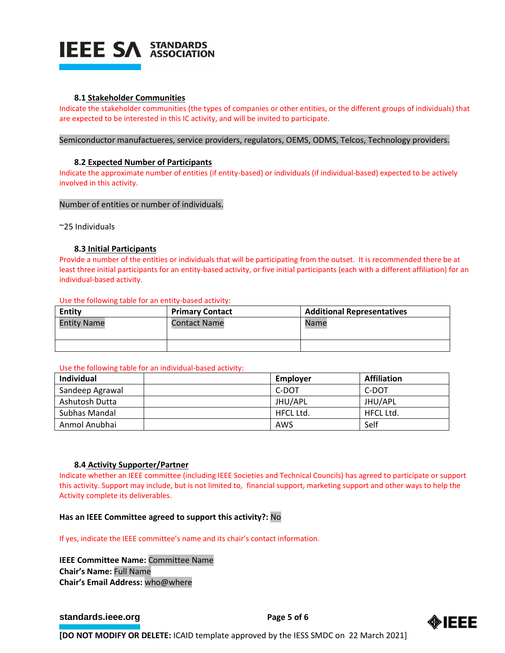

#### **8.1 Stakeholder Communities**

Indicate the stakeholder communities (the types of companies or other entities, or the different groups of individuals) that are expected to be interested in this IC activity, and will be invited to participate.

#### Semiconductor manufactueres, service providers, regulators, OEMS, ODMS, Telcos, Technology providers.

#### **8.2 Expected Number of Participants**

Indicate the approximate number of entities (if entity-based) or individuals (if individual-based) expected to be actively involved in this activity.

#### Number of entities or number of individuals.

~25 Individuals

#### **8.3 Initial Participants**

Provide a number of the entities or individuals that will be participating from the outset. It is recommended there be at least three initial participants for an entity-based activity, or five initial participants (each with a different affiliation) for an individual-based activity.

#### Use the following table for an entity-based activity:

| Entity             | <b>Primary Contact</b> | <b>Additional Representatives</b> |  |
|--------------------|------------------------|-----------------------------------|--|
| <b>Entity Name</b> | <b>Contact Name</b>    | Name                              |  |
|                    |                        |                                   |  |

#### Use the following table for an individual-based activity:

| Individual      | Employer  | <b>Affiliation</b> |
|-----------------|-----------|--------------------|
| Sandeep Agrawal | C-DOT     | C-DOT              |
| Ashutosh Dutta  | JHU/APL   | JHU/APL            |
| Subhas Mandal   | HFCL Ltd. | <b>HFCL Ltd.</b>   |
| Anmol Anubhai   | AWS       | Self               |

#### **8.4 Activity Supporter/Partner**

Indicate whether an IEEE committee (including IEEE Societies and Technical Councils) has agreed to participate or support this activity. Support may include, but is not limited to, financial support, marketing support and other ways to help the Activity complete its deliverables.

#### **Has an IEEE Committee agreed to support this activity?:** No

If yes, indicate the IEEE committee's name and its chair's contact information.

**IEEE Committee Name:** Committee Name **Chair's Name:** Full Name **Chair's Email Address:** who@where

## **[standards.ieee.org](http://standards.ieee.org/) EXECUTE: Page 5 of 6**